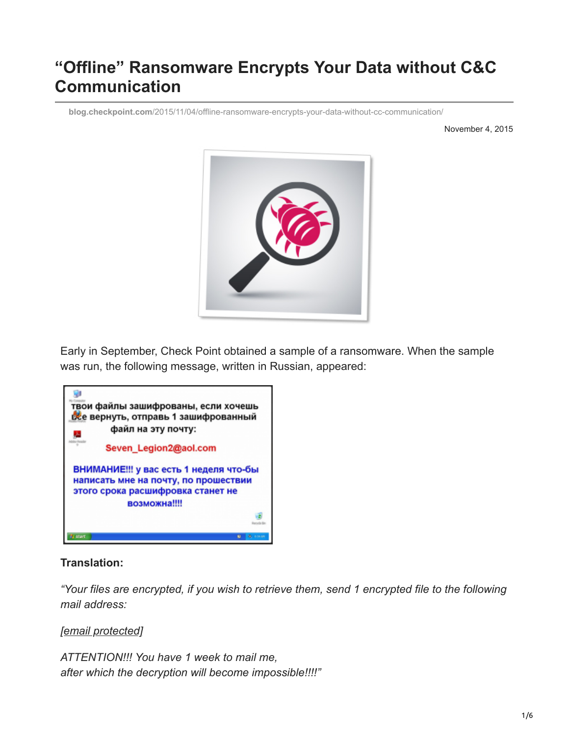# **"Offline" Ransomware Encrypts Your Data without C&C Communication**

**blog.checkpoint.com**[/2015/11/04/offline-ransomware-encrypts-your-data-without-cc-communication/](https://blog.checkpoint.com/2015/11/04/offline-ransomware-encrypts-your-data-without-cc-communication/)

November 4, 2015



Early in September, Check Point obtained a sample of a ransomware. When the sample was run, the following message, written in Russian, appeared:



#### **Translation:**

*"Your files are encrypted, if you wish to retrieve them, send 1 encrypted file to the following mail address:*

#### *[\[email protected\]](https://blog.checkpoint.com/cdn-cgi/l/email-protection#6d3e081b08033221080a0402035f2d0c0201430e0200)*

*ATTENTION!!! You have 1 week to mail me, after which the decryption will become impossible!!!!"*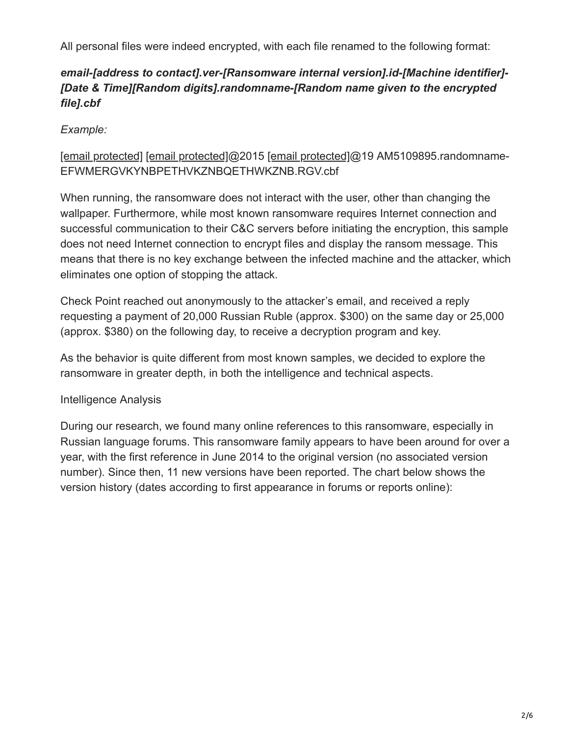All personal files were indeed encrypted, with each file renamed to the following format:

# *email-[address to contact].ver-[Ransomware internal version].id-[Machine identifier]- [Date & Time][Random digits].randomname-[Random name given to the encrypted file].cbf*

# *Example:*

## [\[email protected\]](https://blog.checkpoint.com/cdn-cgi/l/email-protection) [\[email protected\]@](https://blog.checkpoint.com/cdn-cgi/l/email-protection)2015 [\[email protected\]](https://blog.checkpoint.com/cdn-cgi/l/email-protection)@19 AM5109895.randomname-EFWMERGVKYNBPETHVKZNBQETHWKZNB.RGV.cbf

When running, the ransomware does not interact with the user, other than changing the wallpaper. Furthermore, while most known ransomware requires Internet connection and successful communication to their C&C servers before initiating the encryption, this sample does not need Internet connection to encrypt files and display the ransom message. This means that there is no key exchange between the infected machine and the attacker, which eliminates one option of stopping the attack.

Check Point reached out anonymously to the attacker's email, and received a reply requesting a payment of 20,000 Russian Ruble (approx. \$300) on the same day or 25,000 (approx. \$380) on the following day, to receive a decryption program and key.

As the behavior is quite different from most known samples, we decided to explore the ransomware in greater depth, in both the intelligence and technical aspects.

## Intelligence Analysis

During our research, we found many online references to this ransomware, especially in Russian language forums. This ransomware family appears to have been around for over a year, with the first reference in June 2014 to the original version (no associated version number). Since then, 11 new versions have been reported. The chart below shows the version history (dates according to first appearance in forums or reports online):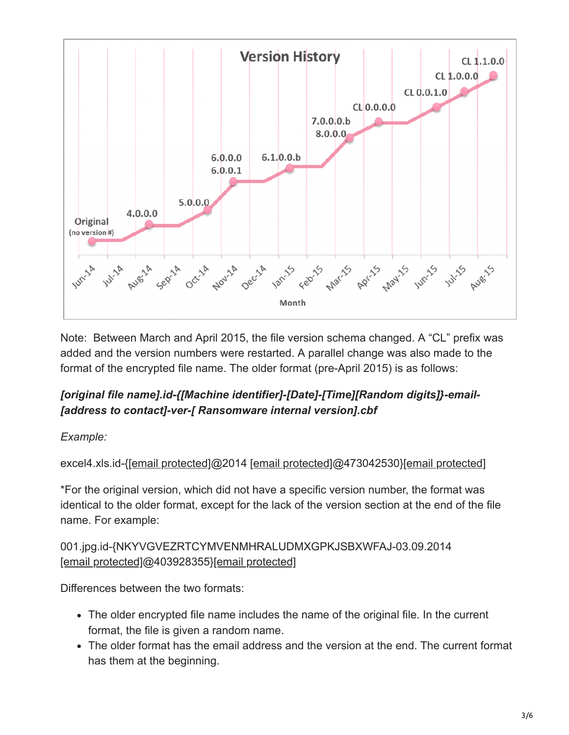

Note: Between March and April 2015, the file version schema changed. A "CL" prefix was added and the version numbers were restarted. A parallel change was also made to the format of the encrypted file name. The older format (pre-April 2015) is as follows:

# *[original file name].id-{[Machine identifier]-[Date]-[Time][Random digits]}-email- [address to contact]-ver-[ Ransomware internal version].cbf*

## *Example:*

excel4.xls.id-[{\[email protected\]](https://blog.checkpoint.com/cdn-cgi/l/email-protection)@2014 [\[email protected\]@](https://blog.checkpoint.com/cdn-cgi/l/email-protection)473042530[}\[email protected\]](https://blog.checkpoint.com/cdn-cgi/l/email-protection)

\*For the original version, which did not have a specific version number, the format was identical to the older format, except for the lack of the version section at the end of the file name. For example:

# 001.jpg.id-{NKYVGVEZRTCYMVENMHRALUDMXGPKJSBXWFAJ-03.09.2014 [\[email protected\]@](https://blog.checkpoint.com/cdn-cgi/l/email-protection)403928355}[\[email protected\]](https://blog.checkpoint.com/cdn-cgi/l/email-protection)

Differences between the two formats:

- The older encrypted file name includes the name of the original file. In the current format, the file is given a random name.
- The older format has the email address and the version at the end. The current format has them at the beginning.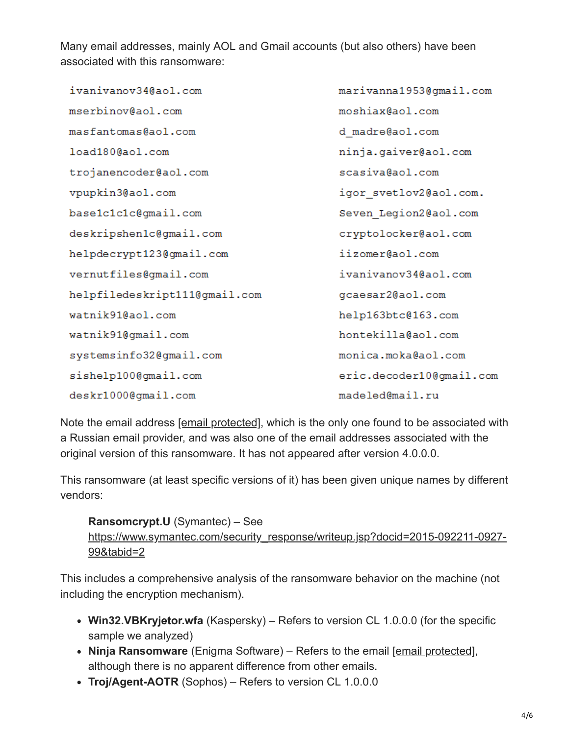Many email addresses, mainly AOL and Gmail accounts (but also others) have been associated with this ransomware:

ivanivanov34@aol.com marivanna1953@qmail.com mserbinov@aol.com moshiax@aol.com masfantomas@aol.com d madre@aol.com ninja.gaiver@aol.com load180@aol.com trojanencoder@aol.com scasiva@aol.com vpupkin3@aol.com igor svetlov2@aol.com. base1c1c1c@gmail.com Seven Legion2@aol.com deskripshen1c@gmail.com cryptolocker@aol.com helpdecrypt123@gmail.com iizomer@aol.com ivanivanov34@aol.com vernutfiles@gmail.com helpfiledeskript111@gmail.com gcaesar2@aol.com watnik91@aol.com help163btc@163.com watnik91@qmail.com hontekilla@aol.com systemsinfo32@qmail.com monica.moka@aol.com sishelp100@gmail.com eric.decoder10@gmail.com deskr1000@gmail.com madeled@mail.ru

Note the email address [\[email protected\]](https://blog.checkpoint.com/cdn-cgi/l/email-protection), which is the only one found to be associated with a Russian email provider, and was also one of the email addresses associated with the original version of this ransomware. It has not appeared after version 4.0.0.0.

This ransomware (at least specific versions of it) has been given unique names by different vendors:

#### **Ransomcrypt.U** (Symantec) – See

[https://www.symantec.com/security\\_response/writeup.jsp?docid=2015-092211-0927-](https://www.symantec.com/security_response/writeup.jsp?docid=2015-092211-0927-99&tabid=2) 99&tabid=2

This includes a comprehensive analysis of the ransomware behavior on the machine (not including the encryption mechanism).

- **Win32.VBKryjetor.wfa** (Kaspersky) Refers to version CL 1.0.0.0 (for the specific sample we analyzed)
- Ninja Ransomware (Enigma Software) Refers to the email [\[email protected\],](https://blog.checkpoint.com/cdn-cgi/l/email-protection) although there is no apparent difference from other emails.
- **Troj/Agent-AOTR** (Sophos) Refers to version CL 1.0.0.0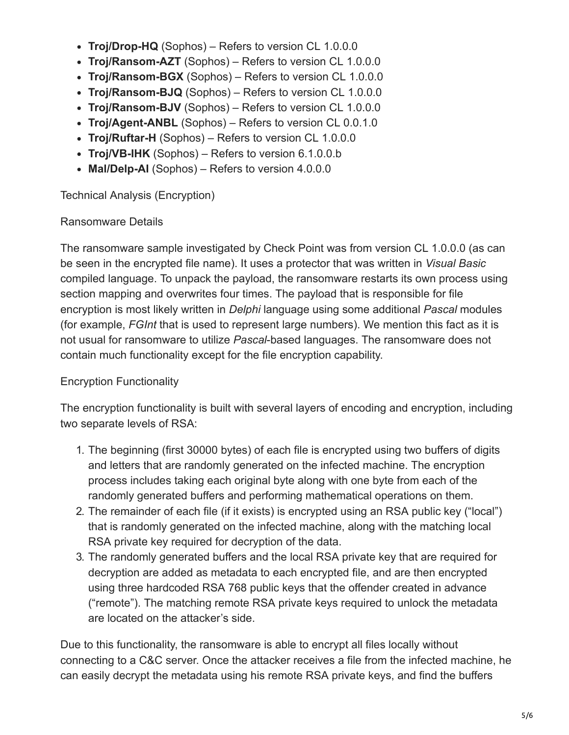- **Troj/Drop-HQ** (Sophos) Refers to version CL 1.0.0.0
- **Troj/Ransom-AZT** (Sophos) Refers to version CL 1.0.0.0
- **Troj/Ransom-BGX** (Sophos) Refers to version CL 1.0.0.0
- **Troj/Ransom-BJQ** (Sophos) Refers to version CL 1.0.0.0
- **Troj/Ransom-BJV** (Sophos) Refers to version CL 1.0.0.0
- **Troj/Agent-ANBL** (Sophos) Refers to version CL 0.0.1.0
- **Troj/Ruftar-H** (Sophos) Refers to version CL 1.0.0.0
- **Troj/VB-IHK** (Sophos) Refers to version 6.1.0.0.b
- **Mal/Delp-AI** (Sophos) Refers to version 4.0.0.0

Technical Analysis (Encryption)

#### Ransomware Details

The ransomware sample investigated by Check Point was from version CL 1.0.0.0 (as can be seen in the encrypted file name). It uses a protector that was written in *Visual Basic* compiled language. To unpack the payload, the ransomware restarts its own process using section mapping and overwrites four times. The payload that is responsible for file encryption is most likely written in *Delphi* language using some additional *Pascal* modules (for example, *FGInt* that is used to represent large numbers). We mention this fact as it is not usual for ransomware to utilize *Pascal*-based languages. The ransomware does not contain much functionality except for the file encryption capability.

## Encryption Functionality

The encryption functionality is built with several layers of encoding and encryption, including two separate levels of RSA:

- 1. The beginning (first 30000 bytes) of each file is encrypted using two buffers of digits and letters that are randomly generated on the infected machine. The encryption process includes taking each original byte along with one byte from each of the randomly generated buffers and performing mathematical operations on them.
- 2. The remainder of each file (if it exists) is encrypted using an RSA public key ("local") that is randomly generated on the infected machine, along with the matching local RSA private key required for decryption of the data.
- 3. The randomly generated buffers and the local RSA private key that are required for decryption are added as metadata to each encrypted file, and are then encrypted using three hardcoded RSA 768 public keys that the offender created in advance ("remote"). The matching remote RSA private keys required to unlock the metadata are located on the attacker's side.

Due to this functionality, the ransomware is able to encrypt all files locally without connecting to a C&C server. Once the attacker receives a file from the infected machine, he can easily decrypt the metadata using his remote RSA private keys, and find the buffers